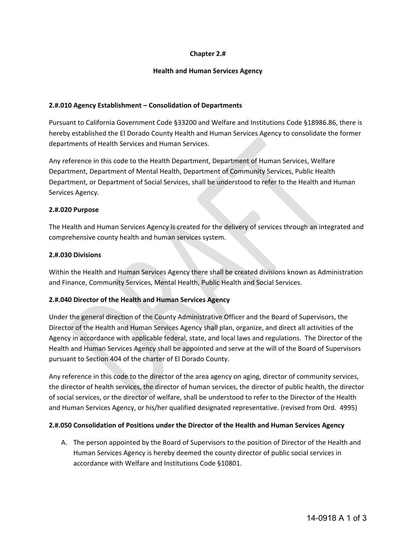# **Chapter 2.#**

## **Health and Human Services Agency**

#### **2.#.010 Agency Establishment – Consolidation of Departments**

Pursuant to California Government Code §33200 and Welfare and Institutions Code §18986.86, there is hereby established the El Dorado County Health and Human Services Agency to consolidate the former departments of Health Services and Human Services.

Any reference in this code to the Health Department, Department of Human Services, Welfare Department, Department of Mental Health, Department of Community Services, Public Health Department, or Department of Social Services, shall be understood to refer to the Health and Human Services Agency.

#### **2.#.020 Purpose**

The Health and Human Services Agency is created for the delivery of services through an integrated and comprehensive county health and human services system.

## **2.#.030 Divisions**

Within the Health and Human Services Agency there shall be created divisions known as Administration and Finance, Community Services, Mental Health, Public Health and Social Services.

# **2.#.040 Director of the Health and Human Services Agency**

Under the general direction of the County Administrative Officer and the Board of Supervisors, the Director of the Health and Human Services Agency shall plan, organize, and direct all activities of the Agency in accordance with applicable federal, state, and local laws and regulations. The Director of the Health and Human Services Agency shall be appointed and serve at the will of the Board of Supervisors pursuant to Section 404 of the charter of El Dorado County.

Any reference in this code to the director of the area agency on aging, director of community services, the director of health services, the director of human services, the director of public health, the director of social services, or the director of welfare, shall be understood to refer to the Director of the Health and Human Services Agency, or his/her qualified designated representative. (revised from Ord. 4995)

#### **2.#.050 Consolidation of Positions under the Director of the Health and Human Services Agency**

A. The person appointed by the Board of Supervisors to the position of Director of the Health and Human Services Agency is hereby deemed the county director of public social services in accordance with Welfare and Institutions Code §10801.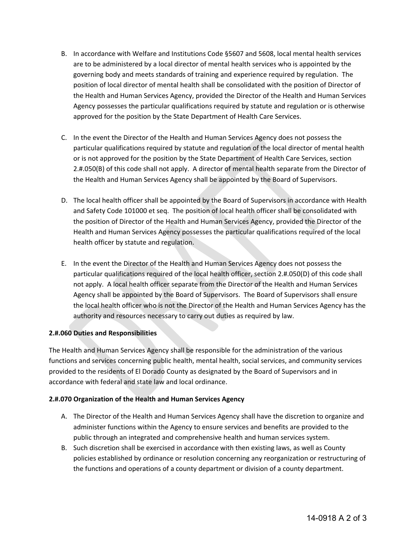- B. In accordance with Welfare and Institutions Code §5607 and 5608, local mental health services are to be administered by a local director of mental health services who is appointed by the governing body and meets standards of training and experience required by regulation. The position of local director of mental health shall be consolidated with the position of Director of the Health and Human Services Agency, provided the Director of the Health and Human Services Agency possesses the particular qualifications required by statute and regulation or is otherwise approved for the position by the State Department of Health Care Services.
- C. In the event the Director of the Health and Human Services Agency does not possess the particular qualifications required by statute and regulation of the local director of mental health or is not approved for the position by the State Department of Health Care Services, section 2.#.050(B) of this code shall not apply. A director of mental health separate from the Director of the Health and Human Services Agency shall be appointed by the Board of Supervisors.
- D. The local health officer shall be appointed by the Board of Supervisors in accordance with Health and Safety Code 101000 et seq. The position of local health officer shall be consolidated with the position of Director of the Health and Human Services Agency, provided the Director of the Health and Human Services Agency possesses the particular qualifications required of the local health officer by statute and regulation.
- E. In the event the Director of the Health and Human Services Agency does not possess the particular qualifications required of the local health officer, section 2.#.050(D) of this code shall not apply. A local health officer separate from the Director of the Health and Human Services Agency shall be appointed by the Board of Supervisors. The Board of Supervisors shall ensure the local health officer who is not the Director of the Health and Human Services Agency has the authority and resources necessary to carry out duties as required by law.

# **2.#.060 Duties and Responsibilities**

The Health and Human Services Agency shall be responsible for the administration of the various functions and services concerning public health, mental health, social services, and community services provided to the residents of El Dorado County as designated by the Board of Supervisors and in accordance with federal and state law and local ordinance.

# **2.#.070 Organization of the Health and Human Services Agency**

- A. The Director of the Health and Human Services Agency shall have the discretion to organize and administer functions within the Agency to ensure services and benefits are provided to the public through an integrated and comprehensive health and human services system.
- B. Such discretion shall be exercised in accordance with then existing laws, as well as County policies established by ordinance or resolution concerning any reorganization or restructuring of the functions and operations of a county department or division of a county department.